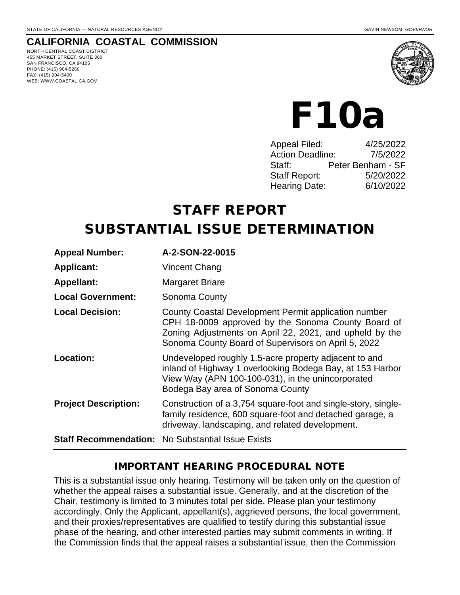# **CALIFORNIA COASTAL COMMISSION**

NORTH CENTRAL COAST DISTRICT 455 MARKET STREET, SUITE 300 SAN FRANCISCO, CA 94105 PHONE: (415) 904-5260 FAX: (415) 904-5400 WEB: WWW.COASTAL.CA.GOV



# F10a

| Appeal Filed:           | 4/25/2022         |
|-------------------------|-------------------|
| <b>Action Deadline:</b> | 7/5/2022          |
| Staff:                  | Peter Benham - SF |
| <b>Staff Report:</b>    | 5/20/2022         |
| Hearing Date:           | 6/10/2022         |
|                         |                   |

# STAFF REPORT

# SUBSTANTIAL ISSUE DETERMINATION

| <b>Appeal Number:</b>       | A-2-SON-22-0015                                                                                                                                                                                                              |
|-----------------------------|------------------------------------------------------------------------------------------------------------------------------------------------------------------------------------------------------------------------------|
| <b>Applicant:</b>           | Vincent Chang                                                                                                                                                                                                                |
| <b>Appellant:</b>           | Margaret Briare                                                                                                                                                                                                              |
| <b>Local Government:</b>    | Sonoma County                                                                                                                                                                                                                |
| <b>Local Decision:</b>      | County Coastal Development Permit application number<br>CPH 18-0009 approved by the Sonoma County Board of<br>Zoning Adjustments on April 22, 2021, and upheld by the<br>Sonoma County Board of Supervisors on April 5, 2022 |
| Location:                   | Undeveloped roughly 1.5-acre property adjacent to and<br>inland of Highway 1 overlooking Bodega Bay, at 153 Harbor<br>View Way (APN 100-100-031), in the unincorporated<br>Bodega Bay area of Sonoma County                  |
| <b>Project Description:</b> | Construction of a 3,754 square-foot and single-story, single-<br>family residence, 600 square-foot and detached garage, a<br>driveway, landscaping, and related development.                                                 |
|                             | <b>Staff Recommendation: No Substantial Issue Exists</b>                                                                                                                                                                     |

#### IMPORTANT HEARING PROCEDURAL NOTE

This is a substantial issue only hearing. Testimony will be taken only on the question of whether the appeal raises a substantial issue. Generally, and at the discretion of the Chair, testimony is limited to 3 minutes total per side. Please plan your testimony accordingly. Only the Applicant, appellant(s), aggrieved persons, the local government, and their proxies/representatives are qualified to testify during this substantial issue phase of the hearing, and other interested parties may submit comments in writing. If the Commission finds that the appeal raises a substantial issue, then the Commission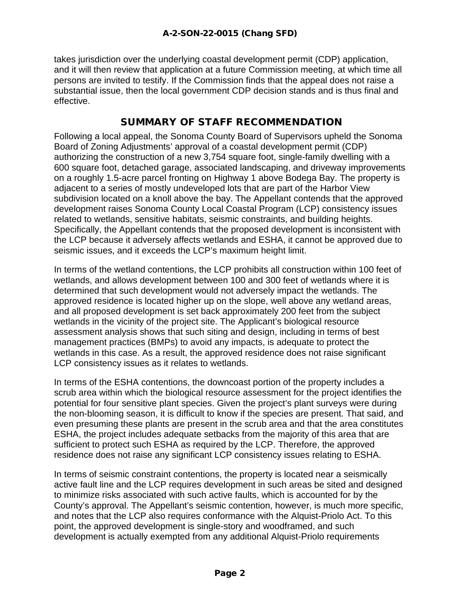takes jurisdiction over the underlying coastal development permit (CDP) application, and it will then review that application at a future Commission meeting, at which time all persons are invited to testify. If the Commission finds that the appeal does not raise a substantial issue, then the local government CDP decision stands and is thus final and effective.

### SUMMARY OF STAFF RECOMMENDATION

Following a local appeal, the Sonoma County Board of Supervisors upheld the Sonoma Board of Zoning Adjustments' approval of a coastal development permit (CDP) authorizing the construction of a new 3,754 square foot, single-family dwelling with a 600 square foot, detached garage, associated landscaping, and driveway improvements on a roughly 1.5-acre parcel fronting on Highway 1 above Bodega Bay. The property is adjacent to a series of mostly undeveloped lots that are part of the Harbor View subdivision located on a knoll above the bay. The Appellant contends that the approved development raises Sonoma County Local Coastal Program (LCP) consistency issues related to wetlands, sensitive habitats, seismic constraints, and building heights. Specifically, the Appellant contends that the proposed development is inconsistent with the LCP because it adversely affects wetlands and ESHA, it cannot be approved due to seismic issues, and it exceeds the LCP's maximum height limit.

In terms of the wetland contentions, the LCP prohibits all construction within 100 feet of wetlands, and allows development between 100 and 300 feet of wetlands where it is determined that such development would not adversely impact the wetlands. The approved residence is located higher up on the slope, well above any wetland areas, and all proposed development is set back approximately 200 feet from the subject wetlands in the vicinity of the project site. The Applicant's biological resource assessment analysis shows that such siting and design, including in terms of best management practices (BMPs) to avoid any impacts, is adequate to protect the wetlands in this case. As a result, the approved residence does not raise significant LCP consistency issues as it relates to wetlands.

In terms of the ESHA contentions, the downcoast portion of the property includes a scrub area within which the biological resource assessment for the project identifies the potential for four sensitive plant species. Given the project's plant surveys were during the non-blooming season, it is difficult to know if the species are present. That said, and even presuming these plants are present in the scrub area and that the area constitutes ESHA, the project includes adequate setbacks from the majority of this area that are sufficient to protect such ESHA as required by the LCP. Therefore, the approved residence does not raise any significant LCP consistency issues relating to ESHA.

In terms of seismic constraint contentions, the property is located near a seismically active fault line and the LCP requires development in such areas be sited and designed to minimize risks associated with such active faults, which is accounted for by the County's approval. The Appellant's seismic contention, however, is much more specific, and notes that the LCP also requires conformance with the Alquist-Priolo Act. To this point, the approved development is single-story and woodframed, and such development is actually exempted from any additional Alquist-Priolo requirements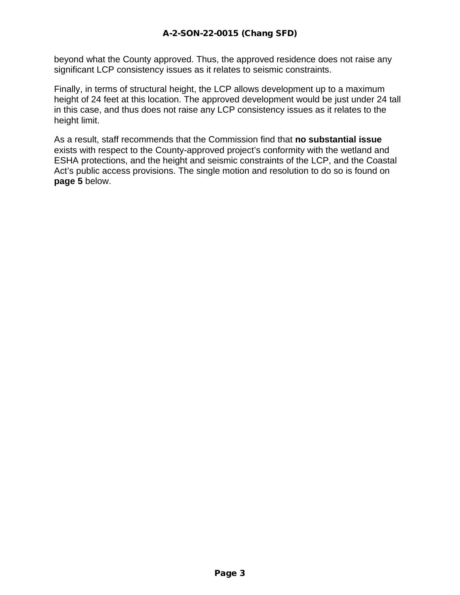beyond what the County approved. Thus, the approved residence does not raise any significant LCP consistency issues as it relates to seismic constraints.

Finally, in terms of structural height, the LCP allows development up to a maximum height of 24 feet at this location. The approved development would be just under 24 tall in this case, and thus does not raise any LCP consistency issues as it relates to the height limit.

As a result, staff recommends that the Commission find that **no substantial issue**  exists with respect to the County-approved project's conformity with the wetland and ESHA protections, and the height and seismic constraints of the LCP, and the Coastal Act's public access provisions. The single motion and resolution to do so is found on **page 5** below.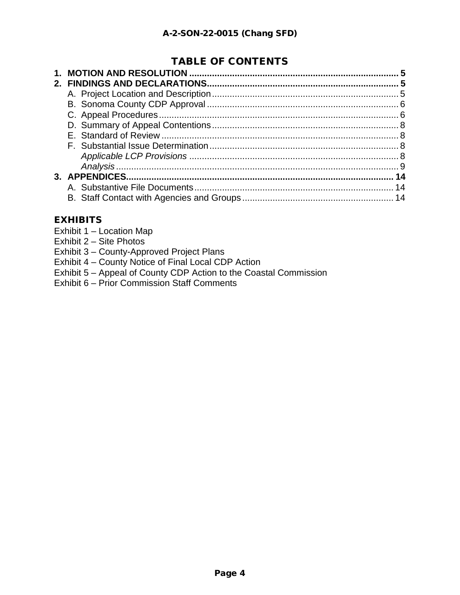# TABLE OF CONTENTS

# **EXHIBITS**

- Exhibit 1 Location Map
- Exhibit 2 Site Photos
- Exhibit 3 County-Approved Project Plans
- Exhibit 4 County Notice of Final Local CDP Action
- Exhibit 5 Appeal of County CDP Action to the Coastal Commission
- [Exhibit 6 Prior Commission Staff Comments](https://documents.coastal.ca.gov/reports/2022/6/f10a/f10a-6-2022-Exhibits)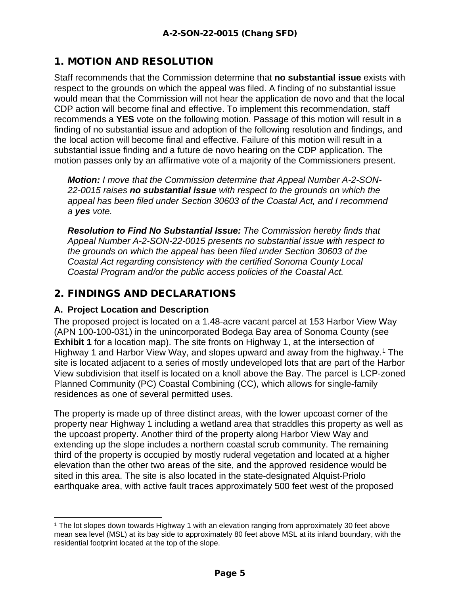# 1. MOTION AND RESOLUTION

Staff recommends that the Commission determine that **no substantial issue** exists with respect to the grounds on which the appeal was filed. A finding of no substantial issue would mean that the Commission will not hear the application de novo and that the local CDP action will become final and effective. To implement this recommendation, staff recommends a **YES** vote on the following motion. Passage of this motion will result in a finding of no substantial issue and adoption of the following resolution and findings, and the local action will become final and effective. Failure of this motion will result in a substantial issue finding and a future de novo hearing on the CDP application. The motion passes only by an affirmative vote of a majority of the Commissioners present.

*Motion: I move that the Commission determine that Appeal Number A-2-SON-22-0015 raises no substantial issue with respect to the grounds on which the appeal has been filed under Section 30603 of the Coastal Act, and I recommend a yes vote.*

*Resolution to Find No Substantial Issue: The Commission hereby finds that Appeal Number A-2-SON-22-0015 presents no substantial issue with respect to the grounds on which the appeal has been filed under Section 30603 of the Coastal Act regarding consistency with the certified Sonoma County Local Coastal Program and/or the public access policies of the Coastal Act.* 

# 2. FINDINGS AND DECLARATIONS

#### **A. Project Location and Description**

The proposed project is located on a 1.48-acre vacant parcel at 153 Harbor View Way (APN 100-100-031) in the unincorporated Bodega Bay area of Sonoma County (see **Exhibit 1** for a location map). The site fronts on Highway 1, at the intersection of Highway [1](#page-4-0) and Harbor View Way, and slopes upward and away from the highway.<sup>1</sup> The site is located adjacent to a series of mostly undeveloped lots that are part of the Harbor View subdivision that itself is located on a knoll above the Bay. The parcel is LCP-zoned Planned Community (PC) Coastal Combining (CC), which allows for single-family residences as one of several permitted uses.

The property is made up of three distinct areas, with the lower upcoast corner of the property near Highway 1 including a wetland area that straddles this property as well as the upcoast property. Another third of the property along Harbor View Way and extending up the slope includes a northern coastal scrub community. The remaining third of the property is occupied by mostly ruderal vegetation and located at a higher elevation than the other two areas of the site, and the approved residence would be sited in this area. The site is also located in the state-designated Alquist-Priolo earthquake area, with active fault traces approximately 500 feet west of the proposed

<span id="page-4-0"></span><sup>1</sup> The lot slopes down towards Highway 1 with an elevation ranging from approximately 30 feet above mean sea level (MSL) at its bay side to approximately 80 feet above MSL at its inland boundary, with the residential footprint located at the top of the slope.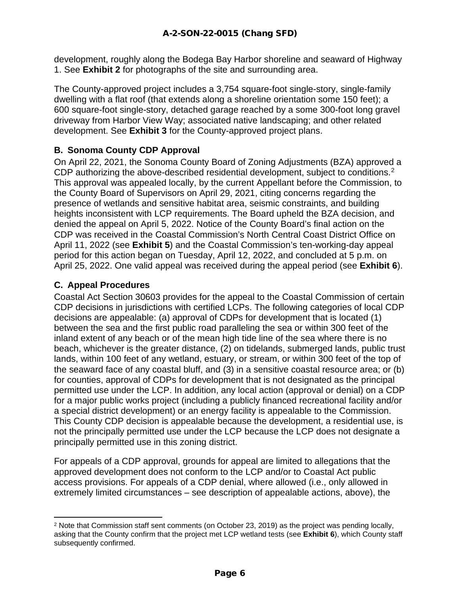development, roughly along the Bodega Bay Harbor shoreline and seaward of Highway 1. See **Exhibit 2** for photographs of the site and surrounding area.

The County-approved project includes a 3,754 square-foot single-story, single-family dwelling with a flat roof (that extends along a shoreline orientation some 150 feet); a 600 square-foot single-story, detached garage reached by a some 300-foot long gravel driveway from Harbor View Way; associated native landscaping; and other related development. See **Exhibit 3** for the County-approved project plans.

#### **B. Sonoma County CDP Approval**

On April 22, 2021, the Sonoma County Board of Zoning Adjustments (BZA) approved a CDP authorizing the above-described residential development, subject to conditions.<sup>[2](#page-5-0)</sup> This approval was appealed locally, by the current Appellant before the Commission, to the County Board of Supervisors on April 29, 2021, citing concerns regarding the presence of wetlands and sensitive habitat area, seismic constraints, and building heights inconsistent with LCP requirements. The Board upheld the BZA decision, and denied the appeal on April 5, 2022. Notice of the County Board's final action on the CDP was received in the Coastal Commission's North Central Coast District Office on April 11, 2022 (see **Exhibit 5**) and the Coastal Commission's ten-working-day appeal period for this action began on Tuesday, April 12, 2022, and concluded at 5 p.m. on April 25, 2022. One valid appeal was received during the appeal period (see **Exhibit 6**).

#### **C. Appeal Procedures**

Coastal Act Section 30603 provides for the appeal to the Coastal Commission of certain CDP decisions in jurisdictions with certified LCPs. The following categories of local CDP decisions are appealable: (a) approval of CDPs for development that is located (1) between the sea and the first public road paralleling the sea or within 300 feet of the inland extent of any beach or of the mean high tide line of the sea where there is no beach, whichever is the greater distance, (2) on tidelands, submerged lands, public trust lands, within 100 feet of any wetland, estuary, or stream, or within 300 feet of the top of the seaward face of any coastal bluff, and (3) in a sensitive coastal resource area; or (b) for counties, approval of CDPs for development that is not designated as the principal permitted use under the LCP. In addition, any local action (approval or denial) on a CDP for a major public works project (including a publicly financed recreational facility and/or a special district development) or an energy facility is appealable to the Commission. This County CDP decision is appealable because the development, a residential use, is not the principally permitted use under the LCP because the LCP does not designate a principally permitted use in this zoning district.

For appeals of a CDP approval, grounds for appeal are limited to allegations that the approved development does not conform to the LCP and/or to Coastal Act public access provisions. For appeals of a CDP denial, where allowed (i.e., only allowed in extremely limited circumstances – see description of appealable actions, above), the

<span id="page-5-0"></span><sup>2</sup> Note that Commission staff sent comments (on October 23, 2019) as the project was pending locally, asking that the County confirm that the project met LCP wetland tests (see **Exhibit 6**), which County staff subsequently confirmed.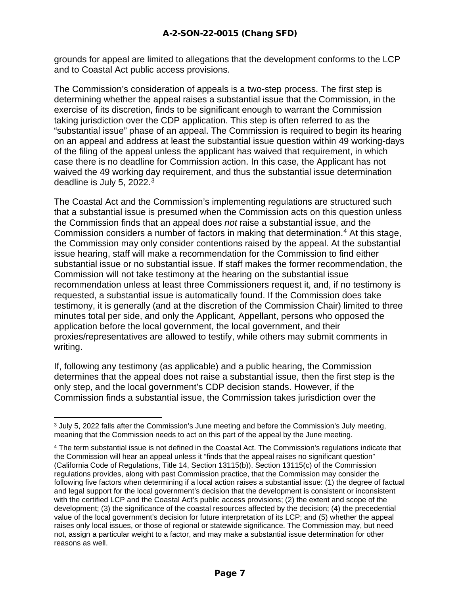grounds for appeal are limited to allegations that the development conforms to the LCP and to Coastal Act public access provisions.

The Commission's consideration of appeals is a two-step process. The first step is determining whether the appeal raises a substantial issue that the Commission, in the exercise of its discretion, finds to be significant enough to warrant the Commission taking jurisdiction over the CDP application. This step is often referred to as the "substantial issue" phase of an appeal. The Commission is required to begin its hearing on an appeal and address at least the substantial issue question within 49 working-days of the filing of the appeal unless the applicant has waived that requirement, in which case there is no deadline for Commission action. In this case, the Applicant has not waived the 49 working day requirement, and thus the substantial issue determination deadline is July 5, 2022.[3](#page-6-0) 

The Coastal Act and the Commission's implementing regulations are structured such that a substantial issue is presumed when the Commission acts on this question unless the Commission finds that an appeal does *not* raise a substantial issue, and the Commission considers a number of factors in making that determination.[4](#page-6-1) At this stage, the Commission may only consider contentions raised by the appeal. At the substantial issue hearing, staff will make a recommendation for the Commission to find either substantial issue or no substantial issue. If staff makes the former recommendation, the Commission will not take testimony at the hearing on the substantial issue recommendation unless at least three Commissioners request it, and, if no testimony is requested, a substantial issue is automatically found. If the Commission does take testimony, it is generally (and at the discretion of the Commission Chair) limited to three minutes total per side, and only the Applicant, Appellant, persons who opposed the application before the local government, the local government, and their proxies/representatives are allowed to testify, while others may submit comments in writing.

If, following any testimony (as applicable) and a public hearing, the Commission determines that the appeal does not raise a substantial issue, then the first step is the only step, and the local government's CDP decision stands. However, if the Commission finds a substantial issue, the Commission takes jurisdiction over the

<span id="page-6-0"></span><sup>&</sup>lt;sup>3</sup> July 5, 2022 falls after the Commission's June meeting and before the Commission's July meeting, meaning that the Commission needs to act on this part of the appeal by the June meeting.

<span id="page-6-1"></span><sup>4</sup> The term substantial issue is not defined in the Coastal Act. The Commission's regulations indicate that the Commission will hear an appeal unless it "finds that the appeal raises no significant question" (California Code of Regulations, Title 14, Section 13115(b)). Section 13115(c) of the Commission regulations provides, along with past Commission practice, that the Commission may consider the following five factors when determining if a local action raises a substantial issue: (1) the degree of factual and legal support for the local government's decision that the development is consistent or inconsistent with the certified LCP and the Coastal Act's public access provisions; (2) the extent and scope of the development; (3) the significance of the coastal resources affected by the decision; (4) the precedential value of the local government's decision for future interpretation of its LCP; and (5) whether the appeal raises only local issues, or those of regional or statewide significance. The Commission may, but need not, assign a particular weight to a factor, and may make a substantial issue determination for other reasons as well.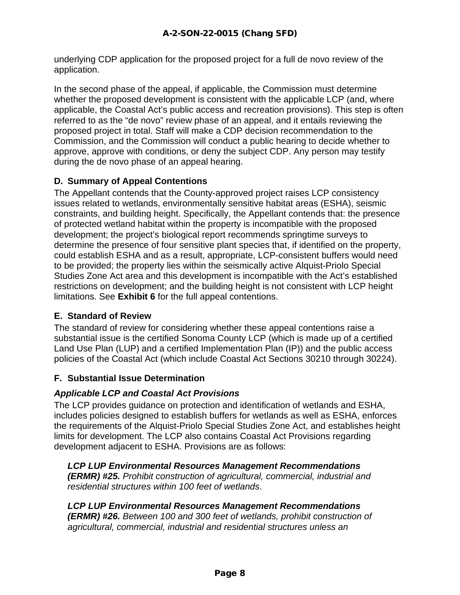underlying CDP application for the proposed project for a full de novo review of the application.

In the second phase of the appeal, if applicable, the Commission must determine whether the proposed development is consistent with the applicable LCP (and, where applicable, the Coastal Act's public access and recreation provisions). This step is often referred to as the "de novo" review phase of an appeal, and it entails reviewing the proposed project in total. Staff will make a CDP decision recommendation to the Commission, and the Commission will conduct a public hearing to decide whether to approve, approve with conditions, or deny the subject CDP. Any person may testify during the de novo phase of an appeal hearing.

#### **D. Summary of Appeal Contentions**

The Appellant contends that the County-approved project raises LCP consistency issues related to wetlands, environmentally sensitive habitat areas (ESHA), seismic constraints, and building height. Specifically, the Appellant contends that: the presence of protected wetland habitat within the property is incompatible with the proposed development; the project's biological report recommends springtime surveys to determine the presence of four sensitive plant species that, if identified on the property, could establish ESHA and as a result, appropriate, LCP-consistent buffers would need to be provided; the property lies within the seismically active Alquist-Priolo Special Studies Zone Act area and this development is incompatible with the Act's established restrictions on development; and the building height is not consistent with LCP height limitations. See **Exhibit 6** for the full appeal contentions.

#### **E. Standard of Review**

The standard of review for considering whether these appeal contentions raise a substantial issue is the certified Sonoma County LCP (which is made up of a certified Land Use Plan (LUP) and a certified Implementation Plan (IP)) and the public access policies of the Coastal Act (which include Coastal Act Sections 30210 through 30224).

#### **F. Substantial Issue Determination**

#### *Applicable LCP and Coastal Act Provisions*

The LCP provides guidance on protection and identification of wetlands and ESHA, includes policies designed to establish buffers for wetlands as well as ESHA, enforces the requirements of the Alquist-Priolo Special Studies Zone Act, and establishes height limits for development. The LCP also contains Coastal Act Provisions regarding development adjacent to ESHA. Provisions are as follows:

*LCP LUP Environmental Resources Management Recommendations (ERMR) #25. Prohibit construction of agricultural, commercial, industrial and residential structures within 100 feet of wetlands*.

*LCP LUP Environmental Resources Management Recommendations (ERMR) #26. Between 100 and 300 feet of wetlands, prohibit construction of agricultural, commercial, industrial and residential structures unless an*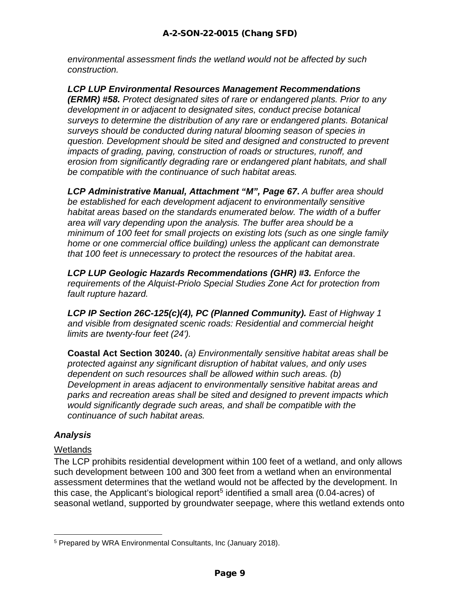*environmental assessment finds the wetland would not be affected by such construction.*

*LCP LUP Environmental Resources Management Recommendations (ERMR) #58. Protect designated sites of rare or endangered plants. Prior to any development in or adjacent to designated sites, conduct precise botanical surveys to determine the distribution of any rare or endangered plants. Botanical surveys should be conducted during natural blooming season of species in question. Development should be sited and designed and constructed to prevent impacts of grading, paving, construction of roads or structures, runoff, and erosion from significantly degrading rare or endangered plant habitats, and shall be compatible with the continuance of such habitat areas.*

*LCP Administrative Manual, Attachment "M", Page 67***.** *A buffer area should be established for each development adjacent to environmentally sensitive habitat areas based on the standards enumerated below. The width of a buffer area will vary depending upon the analysis. The buffer area should be a minimum of 100 feet for small projects on existing lots (such as one single family home or one commercial office building) unless the applicant can demonstrate that 100 feet is unnecessary to protect the resources of the habitat area*.

*LCP LUP Geologic Hazards Recommendations (GHR) #3. Enforce the requirements of the Alquist-Priolo Special Studies Zone Act for protection from fault rupture hazard.*

*LCP IP Section 26C-125(c)(4), PC (Planned Community). East of Highway 1 and visible from designated scenic roads: Residential and commercial height limits are twenty-four feet (24').*

**Coastal Act Section 30240.** *(a) Environmentally sensitive habitat areas shall be protected against any significant disruption of habitat values, and only uses dependent on such resources shall be allowed within such areas. (b) Development in areas adjacent to environmentally sensitive habitat areas and parks and recreation areas shall be sited and designed to prevent impacts which would significantly degrade such areas, and shall be compatible with the continuance of such habitat areas.*

#### *Analysis*

#### **Wetlands**

The LCP prohibits residential development within 100 feet of a wetland, and only allows such development between 100 and 300 feet from a wetland when an environmental assessment determines that the wetland would not be affected by the development. In this case, the Applicant's biological report<sup>[5](#page-8-0)</sup> identified a small area  $(0.04$ -acres) of seasonal wetland, supported by groundwater seepage, where this wetland extends onto

<span id="page-8-0"></span><sup>5</sup> Prepared by WRA Environmental Consultants, Inc (January 2018).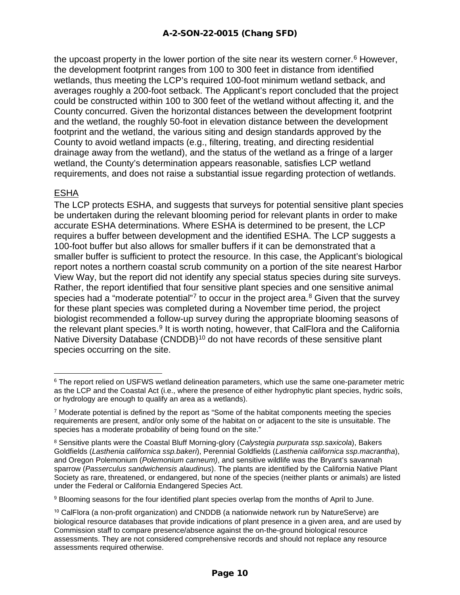the upcoast property in the lower portion of the site near its western corner.<sup>[6](#page-9-0)</sup> However, the development footprint ranges from 100 to 300 feet in distance from identified wetlands, thus meeting the LCP's required 100-foot minimum wetland setback, and averages roughly a 200-foot setback. The Applicant's report concluded that the project could be constructed within 100 to 300 feet of the wetland without affecting it, and the County concurred. Given the horizontal distances between the development footprint and the wetland, the roughly 50-foot in elevation distance between the development footprint and the wetland, the various siting and design standards approved by the County to avoid wetland impacts (e.g., filtering, treating, and directing residential drainage away from the wetland), and the status of the wetland as a fringe of a larger wetland, the County's determination appears reasonable, satisfies LCP wetland requirements, and does not raise a substantial issue regarding protection of wetlands.

#### ESHA

The LCP protects ESHA, and suggests that surveys for potential sensitive plant species be undertaken during the relevant blooming period for relevant plants in order to make accurate ESHA determinations. Where ESHA is determined to be present, the LCP requires a buffer between development and the identified ESHA. The LCP suggests a 100-foot buffer but also allows for smaller buffers if it can be demonstrated that a smaller buffer is sufficient to protect the resource. In this case, the Applicant's biological report notes a northern coastal scrub community on a portion of the site nearest Harbor View Way, but the report did not identify any special status species during site surveys. Rather, the report identified that four sensitive plant species and one sensitive animal species had a "moderate potential"<sup>[7](#page-9-1)</sup> to occur in the project area.<sup>[8](#page-9-2)</sup> Given that the survey for these plant species was completed during a November time period, the project biologist recommended a follow-up survey during the appropriate blooming seasons of the relevant plant species.<sup>[9](#page-9-3)</sup> It is worth noting, however, that CalFlora and the California Native Diversity Database (CNDDB)<sup>10</sup> do not have records of these sensitive plant species occurring on the site.

<span id="page-9-0"></span><sup>&</sup>lt;sup>6</sup> The report relied on USFWS wetland delineation parameters, which use the same one-parameter metric as the LCP and the Coastal Act (i.e., where the presence of either hydrophytic plant species, hydric soils, or hydrology are enough to qualify an area as a wetlands).

<span id="page-9-1"></span> $7$  Moderate potential is defined by the report as "Some of the habitat components meeting the species requirements are present, and/or only some of the habitat on or adjacent to the site is unsuitable. The species has a moderate probability of being found on the site."

<span id="page-9-2"></span><sup>8</sup> Sensitive plants were the Coastal Bluff Morning-glory (*Calystegia purpurata ssp.saxicola*), Bakers Goldfields (*Lasthenia californica ssp.bakeri*), Perennial Goldfields (*Lasthenia californica ssp.macrantha*), and Oregon Polemonium (*Polemonium carneum)*, and sensitive wildlife was the Bryant's savannah sparrow (*Passerculus sandwichensis alaudinus*). The plants are identified by the California Native Plant Society as rare, threatened, or endangered, but none of the species (neither plants or animals) are listed under the Federal or California Endangered Species Act.

<span id="page-9-3"></span><sup>9</sup> Blooming seasons for the four identified plant species overlap from the months of April to June.

<span id="page-9-4"></span><sup>10</sup> CalFlora (a non-profit organization) and CNDDB (a nationwide network run by NatureServe) are biological resource databases that provide indications of plant presence in a given area, and are used by Commission staff to compare presence/absence against the on-the-ground biological resource assessments. They are not considered comprehensive records and should not replace any resource assessments required otherwise.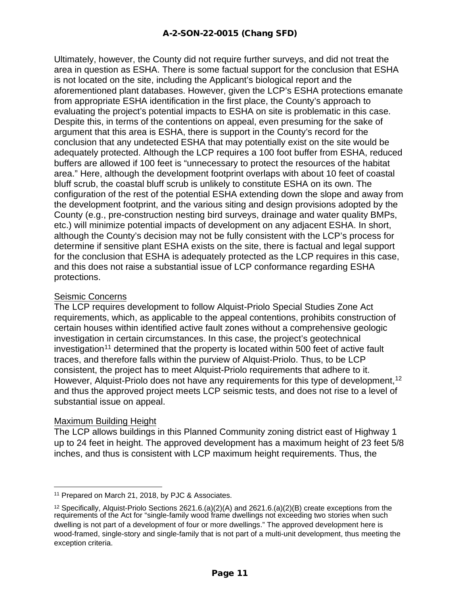Ultimately, however, the County did not require further surveys, and did not treat the area in question as ESHA. There is some factual support for the conclusion that ESHA is not located on the site, including the Applicant's biological report and the aforementioned plant databases. However, given the LCP's ESHA protections emanate from appropriate ESHA identification in the first place, the County's approach to evaluating the project's potential impacts to ESHA on site is problematic in this case. Despite this, in terms of the contentions on appeal, even presuming for the sake of argument that this area is ESHA, there is support in the County's record for the conclusion that any undetected ESHA that may potentially exist on the site would be adequately protected. Although the LCP requires a 100 foot buffer from ESHA, reduced buffers are allowed if 100 feet is "unnecessary to protect the resources of the habitat area." Here, although the development footprint overlaps with about 10 feet of coastal bluff scrub, the coastal bluff scrub is unlikely to constitute ESHA on its own. The configuration of the rest of the potential ESHA extending down the slope and away from the development footprint, and the various siting and design provisions adopted by the County (e.g., pre-construction nesting bird surveys, drainage and water quality BMPs, etc.) will minimize potential impacts of development on any adjacent ESHA. In short, although the County's decision may not be fully consistent with the LCP's process for determine if sensitive plant ESHA exists on the site, there is factual and legal support for the conclusion that ESHA is adequately protected as the LCP requires in this case, and this does not raise a substantial issue of LCP conformance regarding ESHA protections.

#### Seismic Concerns

The LCP requires development to follow Alquist-Priolo Special Studies Zone Act requirements, which, as applicable to the appeal contentions, prohibits construction of certain houses within identified active fault zones without a comprehensive geologic investigation in certain circumstances. In this case, the project's geotechnical investigation<sup>[11](#page-10-0)</sup> determined that the property is located within 500 feet of active fault traces, and therefore falls within the purview of Alquist-Priolo. Thus, to be LCP consistent, the project has to meet Alquist-Priolo requirements that adhere to it. However, Alquist-Priolo does not have any requirements for this type of development,<sup>[12](#page-10-1)</sup> and thus the approved project meets LCP seismic tests, and does not rise to a level of substantial issue on appeal.

#### Maximum Building Height

The LCP allows buildings in this Planned Community zoning district east of Highway 1 up to 24 feet in height. The approved development has a maximum height of 23 feet 5/8 inches, and thus is consistent with LCP maximum height requirements. Thus, the

<span id="page-10-0"></span><sup>11</sup> Prepared on March 21, 2018, by PJC & Associates.

<span id="page-10-1"></span><sup>&</sup>lt;sup>12</sup> Specifically, Alquist-Priolo Sections 2621.6.(a)(2)(A) and 2621.6.(a)(2)(B) create exceptions from the requirements of the Act for "single-family wood frame dwellings not exceeding two stories when such dwelling is not part of a development of four or more dwellings." The approved development here is wood-framed, single-story and single-family that is not part of a multi-unit development, thus meeting the exception criteria.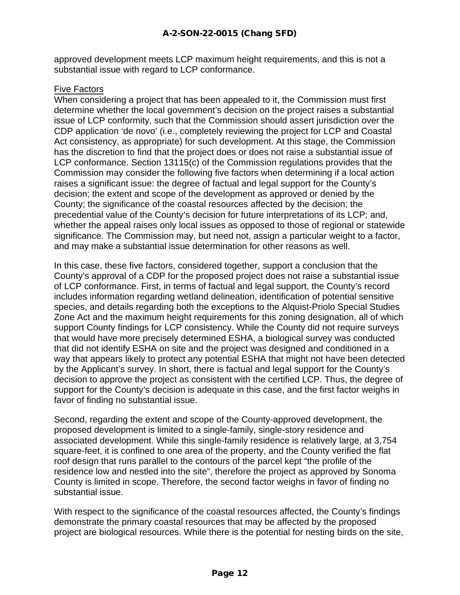approved development meets LCP maximum height requirements, and this is not a substantial issue with regard to LCP conformance.

#### Five Factors

When considering a project that has been appealed to it, the Commission must first determine whether the local government's decision on the project raises a substantial issue of LCP conformity, such that the Commission should assert jurisdiction over the CDP application 'de novo' (i.e., completely reviewing the project for LCP and Coastal Act consistency, as appropriate) for such development. At this stage, the Commission has the discretion to find that the project does or does not raise a substantial issue of LCP conformance. Section 13115(c) of the Commission regulations provides that the Commission may consider the following five factors when determining if a local action raises a significant issue: the degree of factual and legal support for the County's decision; the extent and scope of the development as approved or denied by the County; the significance of the coastal resources affected by the decision; the precedential value of the County's decision for future interpretations of its LCP; and, whether the appeal raises only local issues as opposed to those of regional or statewide significance. The Commission may, but need not, assign a particular weight to a factor, and may make a substantial issue determination for other reasons as well.

In this case, these five factors, considered together, support a conclusion that the County's approval of a CDP for the proposed project does not raise a substantial issue of LCP conformance. First, in terms of factual and legal support, the County's record includes information regarding wetland delineation, identification of potential sensitive species, and details regarding both the exceptions to the Alquist-Priolo Special Studies Zone Act and the maximum height requirements for this zoning designation, all of which support County findings for LCP consistency. While the County did not require surveys that would have more precisely determined ESHA, a biological survey was conducted that did not identify ESHA on site and the project was designed and conditioned in a way that appears likely to protect any potential ESHA that might not have been detected by the Applicant's survey. In short, there is factual and legal support for the County's decision to approve the project as consistent with the certified LCP. Thus, the degree of support for the County's decision is adequate in this case, and the first factor weighs in favor of finding no substantial issue.

Second, regarding the extent and scope of the County-approved development, the proposed development is limited to a single-family, single-story residence and associated development. While this single-family residence is relatively large, at 3,754 square-feet, it is confined to one area of the property, and the County verified the flat roof design that runs parallel to the contours of the parcel kept "the profile of the residence low and nestled into the site", therefore the project as approved by Sonoma County is limited in scope. Therefore, the second factor weighs in favor of finding no substantial issue.

With respect to the significance of the coastal resources affected, the County's findings demonstrate the primary coastal resources that may be affected by the proposed project are biological resources. While there is the potential for nesting birds on the site,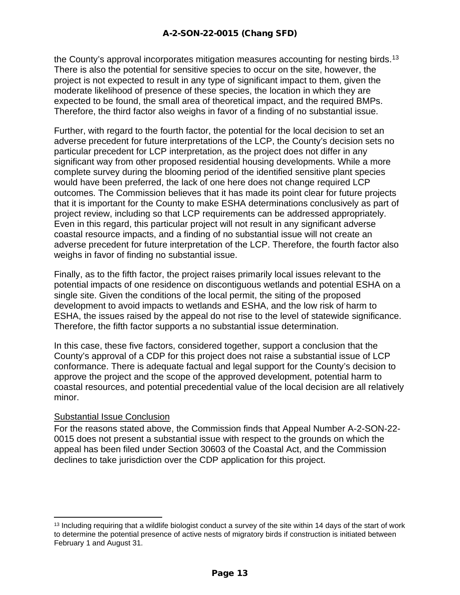the County's approval incorporates mitigation measures accounting for nesting birds.<sup>[13](#page-12-0)</sup> There is also the potential for sensitive species to occur on the site, however, the project is not expected to result in any type of significant impact to them, given the moderate likelihood of presence of these species, the location in which they are expected to be found, the small area of theoretical impact, and the required BMPs. Therefore, the third factor also weighs in favor of a finding of no substantial issue.

Further, with regard to the fourth factor, the potential for the local decision to set an adverse precedent for future interpretations of the LCP, the County's decision sets no particular precedent for LCP interpretation, as the project does not differ in any significant way from other proposed residential housing developments. While a more complete survey during the blooming period of the identified sensitive plant species would have been preferred, the lack of one here does not change required LCP outcomes. The Commission believes that it has made its point clear for future projects that it is important for the County to make ESHA determinations conclusively as part of project review, including so that LCP requirements can be addressed appropriately. Even in this regard, this particular project will not result in any significant adverse coastal resource impacts, and a finding of no substantial issue will not create an adverse precedent for future interpretation of the LCP. Therefore, the fourth factor also weighs in favor of finding no substantial issue.

Finally, as to the fifth factor, the project raises primarily local issues relevant to the potential impacts of one residence on discontiguous wetlands and potential ESHA on a single site. Given the conditions of the local permit, the siting of the proposed development to avoid impacts to wetlands and ESHA, and the low risk of harm to ESHA, the issues raised by the appeal do not rise to the level of statewide significance. Therefore, the fifth factor supports a no substantial issue determination.

In this case, these five factors, considered together, support a conclusion that the County's approval of a CDP for this project does not raise a substantial issue of LCP conformance. There is adequate factual and legal support for the County's decision to approve the project and the scope of the approved development, potential harm to coastal resources, and potential precedential value of the local decision are all relatively minor.

#### Substantial Issue Conclusion

For the reasons stated above, the Commission finds that Appeal Number A-2-SON-22- 0015 does not present a substantial issue with respect to the grounds on which the appeal has been filed under Section 30603 of the Coastal Act, and the Commission declines to take jurisdiction over the CDP application for this project.

<span id="page-12-0"></span><sup>&</sup>lt;sup>13</sup> Including requiring that a wildlife biologist conduct a survey of the site within 14 days of the start of work to determine the potential presence of active nests of migratory birds if construction is initiated between February 1 and August 31.